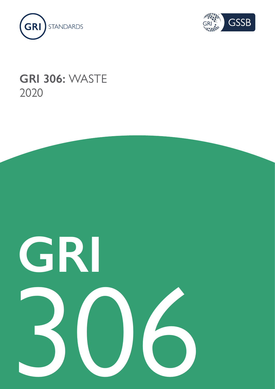



# **GRI 306:** WASTE 2020

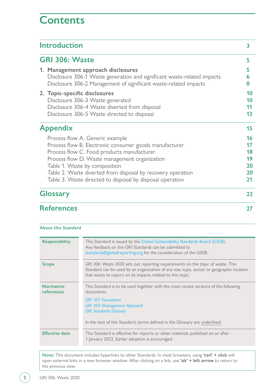# **Contents**

| <b>Introduction</b>                                                                                                                                                                                                                                                                                                                                   | 3                                      |
|-------------------------------------------------------------------------------------------------------------------------------------------------------------------------------------------------------------------------------------------------------------------------------------------------------------------------------------------------------|----------------------------------------|
| <b>GRI 306: Waste</b>                                                                                                                                                                                                                                                                                                                                 | 5                                      |
| 1. Management approach disclosures<br>Disclosure 306-1 Waste generation and significant waste-related impacts<br>Disclosure 306-2 Management of significant waste-related impacts                                                                                                                                                                     | 5<br>6<br>8                            |
| 2. Topic-specific disclosures<br>Disclosure 306-3 Waste generated<br>Disclosure 306-4 Waste diverted from disposal<br>Disclosure 306-5 Waste directed to disposal                                                                                                                                                                                     | 10<br>10<br>11<br>13                   |
| <b>Appendix</b>                                                                                                                                                                                                                                                                                                                                       | 15                                     |
| Process flow A. Generic example<br>Process flow B. Electronic consumer goods manufacturer<br>Process flow C. Food products manufacturer<br>Process flow D. Waste management organization<br>Table 1. Waste by composition<br>Table 2. Waste diverted from disposal by recovery operation<br>Table 3. Waste directed to disposal by disposal operation | 16<br>17<br>18<br>19<br>20<br>20<br>21 |
| <b>Glossary</b>                                                                                                                                                                                                                                                                                                                                       | 22                                     |
| <b>References</b>                                                                                                                                                                                                                                                                                                                                     | 27                                     |

| <b>About this Standard</b>            |                                                                                                                                                                                                                                           |
|---------------------------------------|-------------------------------------------------------------------------------------------------------------------------------------------------------------------------------------------------------------------------------------------|
| <b>Responsibility</b>                 | This Standard is issued by the Global Sustainability Standards Board (GSSB).<br>Any feedback on the GRI Standards can be submitted to<br>standards@globalreporting.org for the consideration of the GSSB.                                 |
| <b>Scope</b>                          | GRI 306: Waste 2020 sets out reporting requirements on the topic of waste. This<br>Standard can be used by an organization of any size, type, sector or geographic location<br>that wants to report on its impacts related to this topic. |
| <b>Normative</b><br><b>references</b> | This Standard is to be used together with the most recent versions of the following<br>documents.                                                                                                                                         |
|                                       | <b>GRI 101: Foundation</b><br><b>GRI 103: Management Approach</b><br><b>GRI Standards Glossary</b>                                                                                                                                        |
|                                       | In the text of this Standard, terms defined in the Glossary are underlined.                                                                                                                                                               |
| <b>Effective date</b>                 | This Standard is effective for reports or other materials published on or after<br>1 January 2022. Earlier adoption is encouraged.                                                                                                        |

**Note:** This document includes hyperlinks to other Standards. In most browsers, using **'ctrl' + click** will open external links in a new browser window. After clicking on a link, use **'alt' + left arrow** to return to the previous view.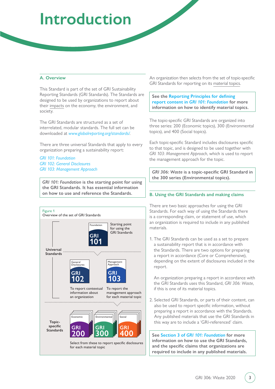# <span id="page-2-0"></span>**Introduction**

# **A. Overview**

This Standard is part of the set of GRI Sustainability Reporting Standards (GRI Standards). The Standards are designed to be used by organizations to report about their [impacts](#page-22-0) on the economy, the environment, and society.

The GRI Standards are structured as a set of interrelated, modular standards. The full set can be downloaded at *[www.globalreporting.org/standards/](http://www.globalreporting.org/standards/)*.

There are three universal Standards that apply to every organization preparing a sustainability report:

*[GRI 101: Foundation](https://www.globalreporting.org/standards/media/1036/gri-101-foundation-2016.pdf) [GRI 102: General Disclosures](https://www.globalreporting.org/standards/media/1037/gri-102-general-disclosures-2016.pdf) [GRI 103: Management Approach](https://www.globalreporting.org/standards/media/1038/gri-103-management-approach-2016.pdf)*

*GRI 101: Foundation* **is the starting point for using the GRI Standards. It has essential information on how to use and reference the Standards.** 



An organization then selects from the set of topic-specific GRI Standards for reporting on its [material topics.](#page-22-1)

## **See the [Reporting Principles for defining](https://www.globalreporting.org/standards/media/1036/gri-101-foundation-2016.pdf#page=8)  report content in** *[GRI 101: Foundation](https://www.globalreporting.org/standards/media/1036/gri-101-foundation-2016.pdf#page=8)* **for more information on how to identify material topics.**

The topic-specific GRI Standards are organized into three series: 200 (Economic topics), 300 (Environmental topics), and 400 (Social topics).

Each topic-specific Standard includes disclosures specific to that topic, and is designed to be used together with *GRI 103: Management Approach*, which is used to report the management approach for the topic.

*GRI 306: Waste* **is a topic-specific GRI Standard in the 300 series (Environmental topics).**

# **B. Using the GRI Standards and making claims**

There are two basic approaches for using the GRI Standards. For each way of using the Standards there is a corresponding claim, or statement of use, which an organization is required to include in any published materials.

1. The GRI Standards can be used as a set to prepare a sustainability report that is in accordance with the Standards. There are two options for preparing a report in accordance (Core or Comprehensive), depending on the extent of disclosures included in the report.

An organization preparing a report in accordance with the GRI Standards uses this Standard, *GRI 306: Waste*, if this is one of its material topics.

2. Selected GRI Standards, or parts of their content, can also be used to report specific information, without preparing a report in accordance with the Standards. Any published materials that use the GRI Standards in this way are to include a 'GRI-referenced' claim.

**See Section 3 of** *[GRI 101: Foundation](https://www.globalreporting.org/standards/media/1036/gri-101-foundation-2016.pdf#page=21)* **for more information on how to use the GRI Standards, and the specific claims that organizations are required to include in any published materials.**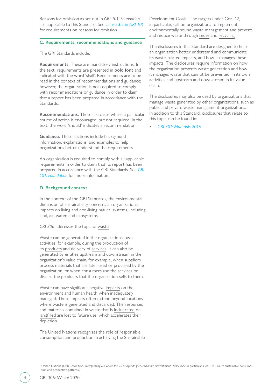Reasons for omission as set out in *GRI 101: Foundation* are applicable to this Standard. See [clause 3.2 in](https://www.globalreporting.org/standards/media/1036/gri-101-foundation-2016.pdf#page=24) *GRI 101* for requirements on reasons for omission.

### **C. Requirements, recommendations and guidance**

The GRI Standards include:

**Requirements.** These are mandatory instructions. In the text, requirements are presented in **bold font** and indicated with the word 'shall'. Requirements are to be read in the context of recommendations and guidance; however, the organization is not required to comply with recommendations or guidance in order to claim that a report has been prepared in accordance with the Standards.

**Recommendations.** These are cases where a particular course of action is encouraged, but not required. In the text, the word 'should' indicates a recommendation.

**Guidance.** These sections include background information, explanations, and examples to help organizations better understand the requirements.

An organization is required to comply with all applicable requirements in order to claim that its report has been prepared in accordance with the GRI Standards. See *[GRI](https://www.globalreporting.org/standards/media/1036/gri-101-foundation-2016.pdf#page=21)  [101: Foundation](https://www.globalreporting.org/standards/media/1036/gri-101-foundation-2016.pdf#page=21)* for more information.

#### **D. Background context**

In the context of the GRI Standards, the environmental dimension of sustainability concerns an organization's impacts on living and non-living natural systems, including land, air, water, and ecosystems.

*GRI 306* addresses the topic of [waste](#page-25-0).

Waste can be generated in the organization's own activities, for example, during the production of its [products](#page-23-0) and delivery of [services](#page-23-1). It can also be generated by entities upstream and downstream in the organization's [value chain,](#page-24-0) for example, when [suppliers](#page-24-1) process materials that are later used or procured by the organization, or when consumers use the services or discard the products that the organization sells to them.

Waste can have significant negative [impacts](#page-22-0) on the environment and human health when inadequately managed. These impacts often extend beyond locations where waste is generated and discarded. The resources and materials contained in waste that is [incinerated](#page-22-2) or [landfilled](#page-22-3) are lost to future use, which accelerates their depletion.

The United Nations recognizes the role of responsible consumption and production in achieving the Sustainable

Development Goals<sup>1</sup>. The targets under Goal 12, in particular, call on organizations to implement environmentally sound waste management and prevent and reduce waste through [reuse](#page-22-4) and [recycling](#page-23-2).

The disclosures in this Standard are designed to help an organization better understand and communicate its waste-related impacts, and how it manages these impacts. The disclosures require information on how the organization prevents waste generation and how it manages waste that cannot be prevented, in its own activities and upstream and downstream in its value chain.

The disclosures may also be used by organizations that manage waste generated by other organizations, such as public and private waste management organizations. In addition to this Standard, disclosures that relate to this topic can be found in:

• *[GRI 301: Materials 2016](https://www.globalreporting.org/standards/media/1008/gri-301-materials-2016.pdf)*

<sup>&</sup>lt;sup>1</sup> United Nations (UN) Resolution, *Transforming our world: the 2030 Agenda for Sustainable Development*, 2015. (See in particular Goal 12: 'Ensure sustainable consumption and production patterns'.)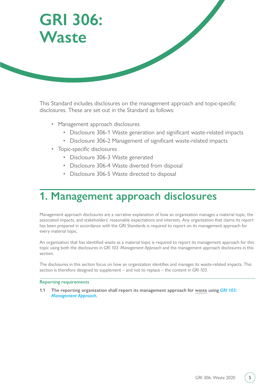<span id="page-4-0"></span>

This Standard includes disclosures on the management approach and topic-specific disclosures. These are set out in the Standard as follows:

- Management approach disclosures
	- Disclosure 306-1 Waste generation and significant waste-related impacts
	- Disclosure 306-2 Management of significant waste-related impacts
- Topic-specific disclosures
	- Disclosure 306-3 Waste generated
	- Disclosure 306-4 Waste diverted from disposal
	- Disclosure 306-5 Waste directed to disposal

# **1. Management approach disclosures**

Management approach disclosures are a narrative explanation of how an organization manages a material topic, the associated impacts, and stakeholders' reasonable expectations and interests. Any organization that claims its report has been prepared in accordance with the GRI Standards is required to report on its management approach for every material topic.

An organization that has identified waste as a material topic is required to report its management approach for this topic using both the disclosures in *GRI 103: Management Approach* and the management approach disclosures in this section.

The disclosures in this section focus on how an organization identifies and manages its waste-related impacts. This section is therefore designed to supplement – and not to replace – the content in *GRI 103*.

#### **Reporting requirements**

**1.1 The reporting organization shall report its management approach for [waste](#page-25-0) using** *[GRI 103:](https://www.globalreporting.org/standards/media/1038/gri-103-management-approach-2016.pdf)  [Management Approach](https://www.globalreporting.org/standards/media/1038/gri-103-management-approach-2016.pdf)***.**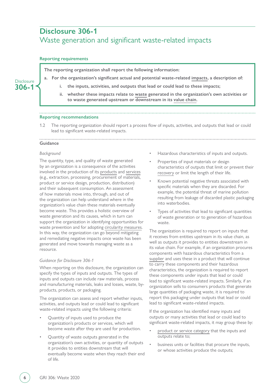# <span id="page-5-0"></span>**Disclosure 306-1**  Waste generation and significant waste-related impacts

### **Reporting requirements**

**The reporting organization shall report the following information:**

**a. For the organization's significant actual and potential waste-related [impacts](#page-22-0), a description of:**

- **i. the inputs, activities, and outputs that lead or could lead to these impacts;**
- **ii. whether these impacts relate to [waste](#page-25-0) generated in the organization's own activities or to waste generated upstream or downstream in its [value chain](#page-24-0).**

## **Reporting recommendations**

1.2 The reporting organization should report a process flow of inputs, activities, and outputs that lead or could lead to significant waste-related impacts.

#### **Guidance**

#### *Background*

The quantity, type, and quality of waste generated by an organization is a consequence of the activities involved in the production of its [products](#page-23-0) and [services](#page-23-1) (e.g., extraction, processing, procurement of materials, product or service design, production, distribution) and their subsequent consumption. An assessment of how materials move into, through, and out of the organization can help understand where in the organization's value chain these materials eventually become waste. This provides a holistic overview of waste generation and its causes, which in turn can support the organization in identifying opportunities for waste prevention and for adopting [circularity measures](#page-21-1). In this way, the organization can go beyond mitigating and remediating negative impacts once waste has been generated and move towards managing waste as a resource.

#### *Guidance for Disclosure 306-1*

When reporting on this disclosure, the organization can specify the types of inputs and outputs. The types of inputs and outputs can include raw materials, process and manufacturing materials, leaks and losses, waste, byproducts, products, or packaging.

The organization can assess and report whether inputs, activities, and outputs lead or could lead to significant waste-related impacts using the following criteria:

- Quantity of inputs used to produce the organization's products or services, which will become waste after they are used for production.
- Quantity of waste outputs generated in the organization's own activities, or quantity of outputs it provides to entities downstream that will eventually become waste when they reach their end of life.
- Hazardous characteristics of inputs and outputs.
- Properties of input materials or design characteristics of outputs that limit or prevent their [recovery](#page-23-3) or limit the length of their life.
- Known potential negative threats associated with specific materials when they are discarded. For example, the potential threat of marine pollution resulting from leakage of discarded plastic packaging into waterbodies.
- Types of activities that lead to significant quantities of waste generation or to generation of hazardous waste.

The organization is required to report on inputs that it receives from entities upstream in its value chain, as well as outputs it provides to entities downstream in its value chain. For example, if an organization procures components with hazardous characteristics from a [supplier](#page-24-1) and uses these in a product that will continue to carry these components and their hazardous characteristics, the organization is required to report these components under inputs that lead or could lead to significant waste-related impacts. Similarly, if an organization sells to consumers products that generate large quantities of packaging waste, it is required to report this packaging under outputs that lead or could lead to significant waste-related impacts.

If the organization has identified many inputs and outputs or many activities that lead or could lead to significant waste-related impacts, it may group these by:

- [product or service category](#page-23-4) that the inputs and outputs relate to;
- business units or facilities that procure the inputs, or whose activities produce the outputs;

**Disclosure 306-1**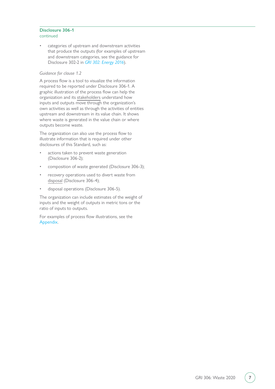#### **Disclosure 306-1** continued

categories of upstream and downstream activities that produce the outputs (for examples of upstream and downstream categories, see the guidance for Disclosure 302-2 in *[GRI 302: Energy 2016](https://www.globalreporting.org/standards/media/1009/gri-302-energy-2016.pdf)*).

### *Guidance for clause 1.2*

A process flow is a tool to visualize the information required to be reported under Disclosure 306-1. A graphic illustration of the process flow can help the organization and its [stakeholders](#page-23-5) understand how inputs and outputs move through the organization's own activities as well as through the activities of entities upstream and downstream in its value chain. It shows where waste is generated in the value chain or where outputs become waste.

The organization can also use the process flow to illustrate information that is required under other disclosures of this Standard, such as:

- actions taken to prevent waste generation (Disclosure 306-2);
- composition of waste generated (Disclosure 306-3);
- recovery operations used to divert waste from [disposal](#page-21-2) (Disclosure 306-4);
- disposal operations (Disclosure 306-5).

The organization can include estimates of the weight of inputs and the weight of outputs in metric tons or the ratio of inputs to outputs.

For examples of process flow illustrations, see the [Appendix.](#page-14-0)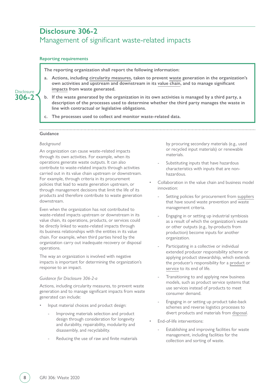# <span id="page-7-0"></span>**Disclosure 306-2**  Management of significant waste-related impacts

## **Reporting requirements**

**The reporting organization shall report the following information:**

- **a. Actions, including [circularity measures,](#page-21-1) taken to prevent [waste](#page-25-0) generation in the organization's own activities and upstream and downstream in its [value chain,](#page-24-0) and to manage significant [impacts](#page-22-0) from waste generated.**
- **b. If the waste generated by the organization in its own activities is managed by a third party, a description of the processes used to determine whether the third party manages the waste in line with contractual or legislative obligations.**
- **c. The processes used to collect and monitor waste-related data.**

# **Guidance**

#### *Background*

An organization can cause waste-related impacts through its own activities. For example, when its operations generate waste outputs. It can also contribute to waste-related impacts through activities carried out in its value chain upstream or downstream. For example, through criteria in its procurement policies that lead to waste generation upstream, or through management decisions that limit the life of its products and therefore contribute to waste generation downstream.

Even when the organization has not contributed to waste-related impacts upstream or downstream in its value chain, its operations, products, or services could be directly linked to waste-related impacts through its business relationships with the entities in its value chain. For example, when third parties hired by the organization carry out inadequate recovery or disposal operations.

The way an organization is involved with negative impacts is important for determining the organization's response to an impact.

#### *Guidance for Disclosure 306-2-a*

Actions, including circularity measures, to prevent waste generation and to manage significant impacts from waste generated can include:

- Input material choices and product design:
	- Improving materials selection and product design through consideration for longevity and durability, repairability, modularity and disassembly, and recyclability.
	- Reducing the use of raw and finite materials

by procuring secondary materials (e.g., used or recycled input materials) or renewable materials.

- Substituting inputs that have hazardous characteristics with inputs that are nonhazardous.
- Collaboration in the value chain and business model innovation:
	- Setting policies for procurement from [suppliers](#page-24-1) that have sound waste prevention and waste management criteria.
	- Engaging in or setting up industrial symbiosis as a result of which the organization's waste or other outputs (e.g., by-products from production) become inputs for another organization.
	- Participating in a collective or individual extended producer responsibility scheme or applying product stewardship, which extends the producer's responsibility for a [product](#page-23-0) or [service](#page-23-1) to its end of life.
	- Transitioning to and applying new business models, such as product service systems that use services instead of products to meet consumer demand.
	- Engaging in or setting up product take-back schemes and reverse logistics processes to divert products and materials from [disposal.](#page-21-2)
- End-of-life interventions:
	- Establishing and improving facilities for waste management, including facilities for the collection and sorting of waste.

**Disclosure 306-2**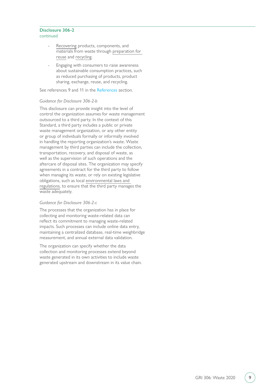#### **Disclosure 306-2** continued

- [Recovering](#page-23-3) products, components, and materials from waste through [preparation for](#page-22-4)  [reuse](#page-22-4) and [recycling](#page-23-2).
- Engaging with consumers to raise awareness about sustainable consumption practices, such as reduced purchasing of products, product sharing, exchange, reuse, and recycling.

See references 9 and 11 in the [References](#page-26-0) section.

### *Guidance for Disclosure 306-2-b*

This disclosure can provide insight into the level of control the organization assumes for waste management outsourced to a third party. In the context of this Standard, a third party includes a public or private waste management organization, or any other entity or group of individuals formally or informally involved in handling the reporting organization's waste. Waste management by third parties can include the collection, transportation, recovery, and disposal of waste, as well as the supervision of such operations and the aftercare of disposal sites. The organization may specify agreements in a contract for the third party to follow when managing its waste, or rely on existing legislative obligations, such as local [environmental laws and](#page-21-3)  [regulations,](#page-21-3) to ensure that the third party manages the waste adequately.

#### *Guidance for Disclosure 306-2-c*

The processes that the organization has in place for collecting and monitoring waste-related data can reflect its commitment to managing waste-related impacts. Such processes can include online data entry, maintaining a centralized database, real-time weighbridge measurement, and annual external data validation.

The organization can specify whether the data collection and monitoring processes extend beyond waste generated in its own activities to include waste generated upstream and downstream in its value chain.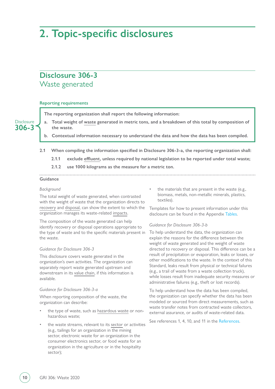# <span id="page-9-0"></span>**2. Topic-specific disclosures**

# **Disclosure 306-3**  Waste generated

#### **Reporting requirements**

**The reporting organization shall report the following information:**

**a. Total weight of [waste](#page-25-0) generated in metric tons, and a breakdown of this total by composition of the waste.**

**b. Contextual information necessary to understand the data and how the data has been compiled.**

- **2.1 When compiling the information specified in Disclosure 306-3-a, the reporting organization shall:**
	- **2.1.1 exclude [effluent](#page-21-4), unless required by national legislation to be reported under total waste;**
	- **2.1.2 use 1000 kilograms as the measure for a metric ton.**

# **Guidance**

#### *Background*

**Disclosure 306-3**

> The total weight of waste generated, when contrasted with the weight of waste that the organization directs to [recovery](#page-23-3) and [disposal,](#page-21-2) can show the extent to which the organization manages its waste-related [impacts.](#page-22-0)

> The composition of the waste generated can help identify recovery or disposal operations appropriate to the type of waste and to the specific materials present in the waste.

#### *Guidance for Disclosure 306-3*

This disclosure covers waste generated in the organization's own activities. The organization can separately report waste generated upstream and downstream in its [value chain,](#page-24-0) if this information is available.

#### *Guidance for Disclosure 306-3-a*

When reporting composition of the waste, the organization can describe:

- the type of waste, such as [hazardous waste](#page-22-5) or nonhazardous waste;
- the waste streams, relevant to its [sector](#page-23-6) or activities (e.g., tailings for an organization in the mining sector, electronic waste for an organization in the consumer electronics sector, or food waste for an organization in the agriculture or in the hospitality sector);

the materials that are present in the waste (e.g., biomass, metals, non-metallic minerals, plastics, textiles).

Templates for how to present information under this disclosure can be found in the Appendix [Tables](#page-19-0).

#### *Guidance for Disclosure 306-3-b*

To help understand the data, the organization can explain the reasons for the difference between the weight of waste generated and the weight of waste directed to recovery or disposal. This difference can be a result of precipitation or evaporation, leaks or losses, or other modifications to the waste. In the context of this Standard, leaks result from physical or technical failures (e.g., a trail of waste from a waste collection truck), while losses result from inadequate security measures or administrative failures (e.g., theft or lost records).

To help understand how the data has been compiled, the organization can specify whether the data has been modeled or sourced from direct measurements, such as waste transfer notes from contracted waste collectors, external assurance, or audits of waste-related data.

See references 1, 4, 10, and 11 in the [References](#page-26-0).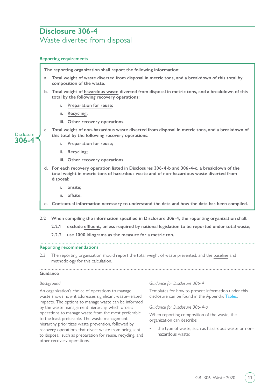# <span id="page-10-0"></span>**Disclosure 306-4**  Waste diverted from disposal

### **Reporting requirements**

**The reporting organization shall report the following information:**

- **a. Total weight of [waste](#page-25-0) diverted from [disposal](#page-21-2) in metric tons, and a breakdown of this total by composition of the waste.**
- **b. Total weight of [hazardous waste](#page-22-5) diverted from disposal in metric tons, and a breakdown of this total by the following [recovery](#page-23-3) operations:**
	- **i. [Preparation for reuse](#page-22-4);**
	- **ii. [Recycling;](#page-23-2)**
	- **iii. Other recovery operations.**
- **Disclosure 306-4**
- **c. Total weight of non-hazardous waste diverted from disposal in metric tons, and a breakdown of this total by the following recovery operations:**
	- **i. Preparation for reuse;**
	- **ii. Recycling;**
	- **iii. Other recovery operations.**
- **d. For each recovery operation listed in Disclosures 306-4-b and 306-4-c, a breakdown of the total weight in metric tons of hazardous waste and of non-hazardous waste diverted from disposal:**
	- **i. onsite;**
	- **ii. offsite.**
- **e. Contextual information necessary to understand the data and how the data has been compiled.**
- **2.2 When compiling the information specified in Disclosure 306-4, the reporting organization shall:**

- **2.2.1 exclude [effluent](#page-21-4), unless required by national legislation to be reported under total waste;**
- **2.2.2 use 1000 kilograms as the measure for a metric ton.**

### **Reporting recommendations**

2.3 The reporting organization should report the total weight of waste prevented, and the [baseline](#page-21-5) and methodology for this calculation.

# **Guidance**

#### *Background*

An organization's choice of operations to manage waste shows how it addresses significant waste-related [impacts.](#page-22-0) The options to manage waste can be informed by the waste management hierarchy, which orders operations to manage waste from the most preferable to the least preferable. The waste management hierarchy prioritizes waste prevention, followed by recovery operations that divert waste from being sent to disposal, such as preparation for reuse, recycling, and other recovery operations.

*Guidance for Disclosure 306-4*

Templates for how to present information under this disclosure can be found in the Appendix [Tables](#page-19-0).

*Guidance for Disclosure 306-4-a*

When reporting composition of the waste, the organization can describe:

the type of waste, such as hazardous waste or nonhazardous waste;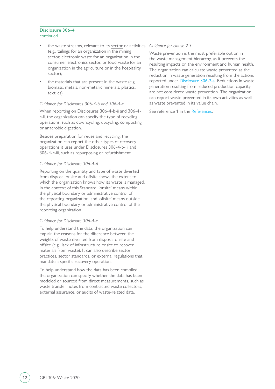#### **Disclosure 306-4** continued

- the waste streams, relevant to its [sector](#page-23-6) or activities (e.g., tailings for an organization in the mining sector, electronic waste for an organization in the consumer electronics sector, or food waste for an organization in the agriculture or in the hospitality sector);
- the materials that are present in the waste (e.g., biomass, metals, non-metallic minerals, plastics, textiles).

#### *Guidance for Disclosures 306-4-b and 306-4-c*

When reporting on Disclosures 306-4-b-ii and 306-4 c-ii, the organization can specify the type of recycling operations, such as downcycling, upcycling, composting, or anaerobic digestion.

Besides preparation for reuse and recycling, the organization can report the other types of recovery operations it uses under Disclosures 306-4-b-iii and 306-4-c-iii, such as repurposing or refurbishment.

#### *Guidance for Disclosure 306-4-d*

Reporting on the quantity and type of waste diverted from disposal onsite and offsite shows the extent to which the organization knows how its waste is managed. In the context of this Standard, 'onsite' means within the physical boundary or administrative control of the reporting organization, and 'offsite' means outside the physical boundary or administrative control of the reporting organization.

#### *Guidance for Disclosure 306-4-e*

To help understand the data, the organization can explain the reasons for the difference between the weights of waste diverted from disposal onsite and offsite (e.g., lack of infrastructure onsite to recover materials from waste). It can also describe sector practices, sector standards, or external regulations that mandate a specific recovery operation.

To help understand how the data has been compiled, the organization can specify whether the data has been modeled or sourced from direct measurements, such as waste transfer notes from contracted waste collectors, external assurance, or audits of waste-related data.

#### *Guidance for clause 2.3*

Waste prevention is the most preferable option in the waste management hierarchy, as it prevents the resulting impacts on the environment and human health. The organization can calculate waste prevented as the reduction in waste generation resulting from the actions reported under [Disclosure 306-2-a](#page-7-0). Reductions in waste generation resulting from reduced production capacity are not considered waste prevention. The organization can report waste prevented in its own activities as well as waste prevented in its value chain.

See reference 1 in the [References](#page-26-0).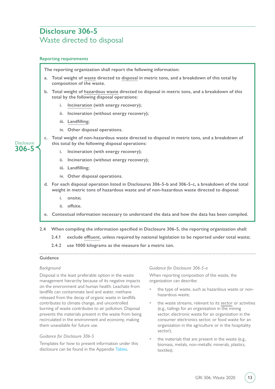# <span id="page-12-0"></span>**Disclosure 306-5**  Waste directed to disposal

## **Reporting requirements**

**The reporting organization shall report the following information:**

- **a. Total weight of [waste](#page-25-0) directed to [disposal](#page-21-2) in metric tons, and a breakdown of this total by composition of the waste.**
- **b. Total weight of [hazardous waste](#page-22-5) directed to disposal in metric tons, and a breakdown of this total by the following disposal operations:**
	- **i. [Incineration](#page-22-2) (with energy recovery);**
	- **ii. Incineration (without energy recovery);**
	- **iii. [Landfilling](#page-22-3);**
	- **iv. Other disposal operations.**
- **Disclosure 306-5**
- **c. Total weight of non-hazardous waste directed to disposal in metric tons, and a breakdown of this total by the following disposal operations:**
	- **i. Incineration (with energy recovery);**
	- **ii. Incineration (without energy recovery);**
	- **iii. Landfilling;**
	- **iv. Other disposal operations.**
- **d. For each disposal operation listed in Disclosures 306-5-b and 306-5-c, a breakdown of the total weight in metric tons of hazardous waste and of non-hazardous waste directed to disposal:**
	- **i. onsite;**
	- **ii. offsite.**
- **e. Contextual information necessary to understand the data and how the data has been compiled.**
- **2.4 When compiling the information specified in Disclosure 306-5, the reporting organization shall:**
	- **2.4.1 exclude [effluent](#page-21-4), unless required by national legislation to be reported under total waste;**

**2.4.2 use 1000 kilograms as the measure for a metric ton.**

# **Guidance**

#### *Background*

Disposal is the least preferable option in the waste management hierarchy because of its negative impacts on the environment and human health. Leachate from landfills can contaminate land and water, methane released from the decay of organic waste in landfills contributes to climate change, and uncontrolled burning of waste contributes to air pollution. Disposal prevents the materials present in the waste from being recirculated in the environment and economy, making them unavailable for future use.

#### *Guidance for Disclosure 306-5*

Templates for how to present information under this disclosure can be found in the Appendix [Tables](#page-19-0).

#### *Guidance for Disclosure 306-5-a*

When reporting composition of the waste, the organization can describe:

- the type of waste, such as hazardous waste or nonhazardous waste;
- the waste streams, relevant to its [sector](#page-23-6) or activities (e.g., tailings for an organization in the mining sector, electronic waste for an organization in the consumer electronics sector, or food waste for an organization in the agriculture or in the hospitality sector);
- the materials that are present in the waste (e.g., biomass, metals, non-metallic minerals, plastics, textiles).

GRI 306: Waste 2020 **13**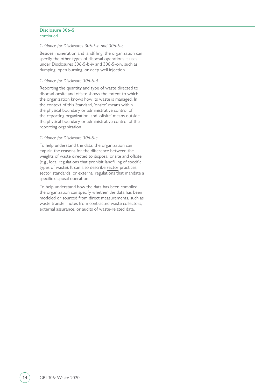#### **Disclosure 306-5** continued

#### *Guidance for Disclosures 306-5-b and 306-5-c*

Besides [incineration](#page-22-2) and [landfilling](#page-22-3), the organization can specify the other types of disposal operations it uses under Disclosures 306-5-b-iv and 306-5-c-iv, such as dumping, open burning, or deep well injection.

#### *Guidance for Disclosure 306-5-d*

Reporting the quantity and type of waste directed to disposal onsite and offsite shows the extent to which the organization knows how its waste is managed. In the context of this Standard, 'onsite' means within the physical boundary or administrative control of the reporting organization, and 'offsite' means outside the physical boundary or administrative control of the reporting organization.

#### *Guidance for Disclosure 306-5-e*

To help understand the data, the organization can explain the reasons for the difference between the weights of waste directed to disposal onsite and offsite (e.g., local regulations that prohibit landfilling of specific types of waste). It can also describe [sector](#page-23-6) practices, sector standards, or external regulations that mandate a specific disposal operation.

To help understand how the data has been compiled, the organization can specify whether the data has been modeled or sourced from direct measurements, such as waste transfer notes from contracted waste collectors, external assurance, or audits of waste-related data.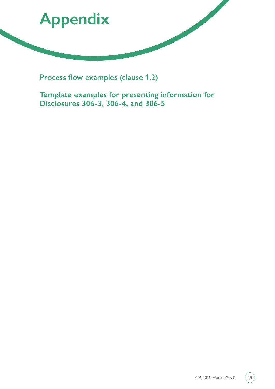<span id="page-14-0"></span>

**Process flow examples (clause 1.2)**

**Template examples for presenting information for Disclosures 306-3, 306-4, and 306-5**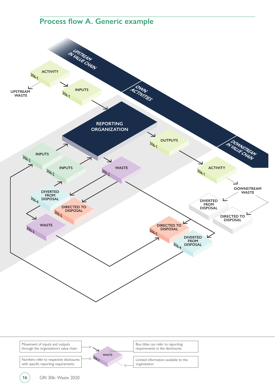# **Process flow A. Generic example**

<span id="page-15-0"></span>

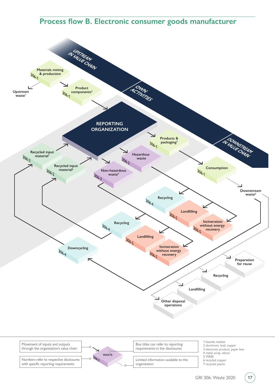# Process flow B. Electronic consumer goods manufacturer

<span id="page-16-0"></span>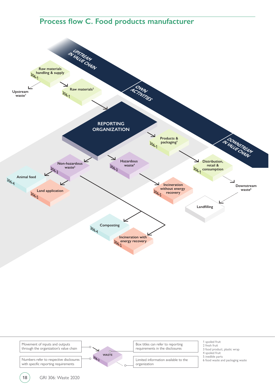# **Process flow C. Food products manufacturer**

<span id="page-17-0"></span>

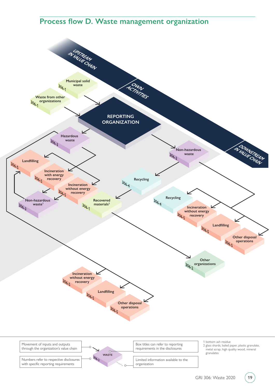# **Process flow D. Waste management organization**

<span id="page-18-0"></span>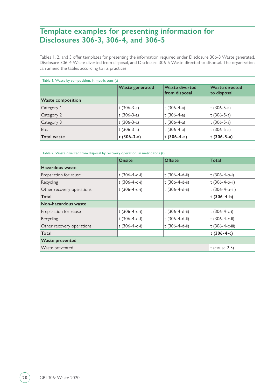# <span id="page-19-0"></span>**Template examples for presenting information for Disclosures 306-3, 306-4, and 306-5**

Tables 1, 2, and 3 offer templates for presenting the information required under Disclosure 306-3 Waste generated, Disclosure 306-4 Waste diverted from disposal, and Disclosure 306-5 Waste directed to disposal. The organization can amend the tables according to its practices.

| Table 1. Waste by composition, in metric tons (t) |                        |                                        |                                      |  |
|---------------------------------------------------|------------------------|----------------------------------------|--------------------------------------|--|
|                                                   | <b>Waste generated</b> | <b>Waste diverted</b><br>from disposal | <b>Waste directed</b><br>to disposal |  |
| <b>Waste composition</b>                          |                        |                                        |                                      |  |
| Category 1                                        | t $(306-3-a)$          | t $(306-4-a)$                          | t $(306-5-a)$                        |  |
| Category 2                                        | t $(306-3-a)$          | t $(306-4-a)$                          | t $(306-5-a)$                        |  |
| Category 3                                        | t $(306-3-a)$          | t $(306-4-a)$                          | t $(306-5-a)$                        |  |
| Etc.                                              | t (306-3-a)            | t $(306-4-a)$                          | t $(306-5-a)$                        |  |
| <b>Total waste</b>                                | $t(306-3-a)$           | $t(306-4-a)$                           | $t(306-5-a)$                         |  |

| Table 2. Waste diverted from disposal by recovery operation, in metric tons (t) |                 |                |                        |  |
|---------------------------------------------------------------------------------|-----------------|----------------|------------------------|--|
|                                                                                 | <b>Onsite</b>   | <b>Offsite</b> | <b>Total</b>           |  |
| Hazardous waste                                                                 |                 |                |                        |  |
| Preparation for reuse                                                           | t $(306-4-d-i)$ | t (306-4-d-ii) | $t(306-4-b-i)$         |  |
| Recycling                                                                       | t $(306-4-d-i)$ | t (306-4-d-ii) | t (306-4-b-ii)         |  |
| Other recovery operations                                                       | t (306-4-d-i)   | t (306-4-d-ii) | t (306-4-b-iii)        |  |
| Total                                                                           |                 |                | $t(306-4-b)$           |  |
| Non-hazardous waste                                                             |                 |                |                        |  |
| Preparation for reuse                                                           | t $(306-4-d-i)$ | t (306-4-d-ii) | t $(306-4-c-i)$        |  |
| Recycling                                                                       | t (306-4-d-i)   | t (306-4-d-ii) | t $(306 - 4 - c - ii)$ |  |
| Other recovery operations                                                       | t (306-4-d-i)   | t (306-4-d-ii) | t (306-4-c-iii)        |  |
| Total                                                                           |                 |                | $t(306-4-c)$           |  |
| <b>Waste prevented</b>                                                          |                 |                |                        |  |
| Waste prevented                                                                 |                 |                | $t$ (clause 2.3)       |  |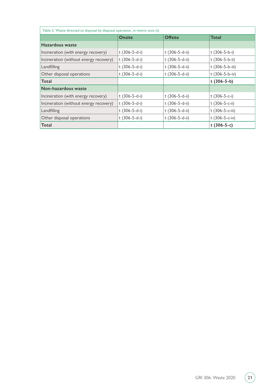<span id="page-20-0"></span>

| Table 3. Waste directed to disposal by disposal operation, in metric tons (t) |                       |                |                        |  |
|-------------------------------------------------------------------------------|-----------------------|----------------|------------------------|--|
|                                                                               | <b>Onsite</b>         | <b>Offsite</b> | Total                  |  |
| Hazardous waste                                                               |                       |                |                        |  |
| Incineration (with energy recovery)                                           | t $(306-5-d-i)$       | t (306-5-d-ii) | t $(306-5-b-i)$        |  |
| Incineration (without energy recovery)                                        | t (306-5-d-i)         | t (306-5-d-ii) | t (306-5-b-ii)         |  |
| Landfilling                                                                   | t $(306-5-d-i)$       | t (306-5-d-ii) | t (306-5-b-iii)        |  |
| Other disposal operations                                                     | t (306-5-d-i)         | t (306-5-d-ii) | t $(306 - 5 - b - iv)$ |  |
| Total                                                                         |                       |                | $t(306-5-b)$           |  |
| Non-hazardous waste                                                           |                       |                |                        |  |
| Incineration (with energy recovery)                                           | t $(306-5-d-i)$       | t (306-5-d-ii) | t $(306-5-c-i)$        |  |
| Incineration (without energy recovery)                                        | t $(306 - 5 - d - i)$ | t (306-5-d-ii) | t $(306 - 5 - c - ii)$ |  |
| Landfilling                                                                   | t $(306-5-d-i)$       | t (306-5-d-ii) | t (306-5-c-iii)        |  |
| Other disposal operations                                                     | t (306-5-d-i)         | t (306-5-d-ii) | t $(306 - 5 - c - iv)$ |  |
| Total                                                                         |                       |                | t $(306-5-c)$          |  |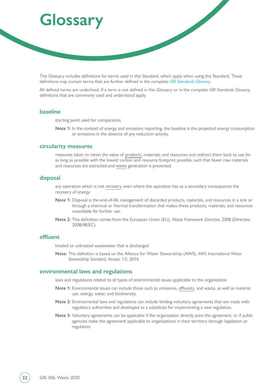# <span id="page-21-0"></span>**Glossary**

This Glossary includes definitions for terms used in this Standard, which apply when using this Standard. These definitions may contain terms that are further defined in the complete *[GRI Standards Glossary](https://www.globalreporting.org/standards/gri-standards-download-center/gri-standards-glossary/)*.

All defined terms are underlined. If a term is not defined in this Glossary or in the complete *GRI Standards Glossary*, definitions that are commonly used and understood apply.

# <span id="page-21-5"></span>**baseline**

starting point used for comparisons

**Note 1:** In the context of energy and emissions reporting, the baseline is the projected energy consumption or emissions in the absence of any reduction activity.

### <span id="page-21-1"></span>**circularity measures**

measures taken to retain the value of [products](#page-23-0), materials, and resources and redirect them back to use for as long as possible with the lowest carbon and resource footprint possible, such that fewer raw materials and resources are extracted and [waste](#page-25-0) generation is prevented

# <span id="page-21-2"></span>**disposal**

any operation which is not [recovery,](#page-23-3) even where the operation has as a secondary consequence the recovery of energy

- **Note 1:** Disposal is the end-of-life management of discarded products, materials, and resources in a sink or through a chemical or thermal transformation that makes these products, materials, and resources unavailable for further use.
- **Note 2:** This definition comes from the European Union (EU), *Waste Framework Directive*, 2008 (Directive 2008/98/EC).

# <span id="page-21-4"></span>**effluent**

treated or untreated wastewater that is discharged

**Note:** This definition is based on the Alliance for Water Stewardship (AWS), *AWS International Water Stewardship Standard, Version 1.0*, 2014.

# <span id="page-21-3"></span>**environmental laws and regulations**

laws and regulations related to all types of environmental issues applicable to the organization

- **Note 1:** Environmental issues can include those such as emissions, [effluents,](#page-21-4) and waste, as well as material use, energy, water, and biodiversity.
- **Note 2:** Environmental laws and regulations can include binding voluntary agreements that are made with regulatory authorities and developed as a substitute for implementing a new regulation.
- **Note 3:** Voluntary agreements can be applicable if the organization directly joins the agreement, or if public agencies make the agreement applicable to organizations in their territory through legislation or regulation.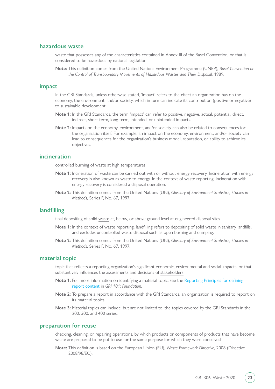# <span id="page-22-5"></span>**hazardous waste**

[waste](#page-25-0) that possesses any of the characteristics contained in Annex III of the Basel Convention, or that is considered to be hazardous by national legislation

**Note:** This definition comes from the United Nations Environment Programme (UNEP), *Basel Convention on the Control of Transboundary Movements of Hazardous Wastes and Their Disposal,* 1989.

#### <span id="page-22-0"></span>**impact**

In the GRI Standards, unless otherwise stated, 'impact' refers to the effect an organization has on the economy, the environment, and/or society, which in turn can indicate its contribution (positive or negative) to [sustainable development.](https://www.globalreporting.org/standards/media/1913/gri-standards-glossary.pdf#page=20)

- **Note 1:** In the GRI Standards, the term 'impact' can refer to positive, negative, actual, potential, direct, indirect, short-term, long-term, intended, or unintended impacts.
- **Note 2:** Impacts on the economy, environment, and/or society can also be related to consequences for the organization itself. For example, an impact on the economy, environment, and/or society can lead to consequences for the organization's business model, reputation, or ability to achieve its objectives.

## <span id="page-22-2"></span>**incineration**

controlled burning of [waste](#page-25-0) at high temperatures

- **Note 1:** Incineration of waste can be carried out with or without energy recovery. Incineration with energy recovery is also known as waste to energy. In the context of waste reporting, incineration with energy recovery is considered a disposal operation.
- **Note 2:** This definition comes from the United Nations (UN), *Glossary of Environment Statistics, Studies in Methods*, Series F, No. 67, 1997.

#### <span id="page-22-3"></span>**landfilling**

final depositing of solid [waste](#page-25-0) at, below, or above ground level at engineered disposal sites

- **Note 1:** In the context of waste reporting, landfilling refers to depositing of solid waste in sanitary landfills, and excludes uncontrolled waste disposal such as open burning and dumping.
- **Note 2:** This definition comes from the United Nations (UN), *Glossary of Environment Statistics, Studies in Methods*, Series F, No. 67, 1997.

# <span id="page-22-1"></span>**material topic**

[topic](https://www.globalreporting.org/standards/media/1913/gri-standards-glossary.pdf#page=20) that reflects a reporting organization's significant economic, environmental and social [impacts](#page-22-0); or that substantively influences the assessments and decisions of [stakeholders](#page-23-5)

- **Note 1:** For more information on identifying a material topic, see the [Reporting Principles for defining](https://www.globalreporting.org/standards/media/1036/gri-101-foundation-2016.pdf#page=8)  [report content](https://www.globalreporting.org/standards/media/1036/gri-101-foundation-2016.pdf#page=8) in *GRI 101: Foundation*.
- **Note 2:** To prepare a report in accordance with the GRI Standards, an organization is required to report on its material topics.
- **Note 3:** Material topics can include, but are not limited to, the topics covered by the GRI Standards in the 200, 300, and 400 series.

# <span id="page-22-4"></span>**preparation for reuse**

checking, cleaning, or repairing operations, by which products or components of products that have become waste are prepared to be put to use for the same purpose for which they were conceived

**Note:** This definition is based on the European Union (EU), *Waste Framework Directive*, 2008 (Directive 2008/98/EC).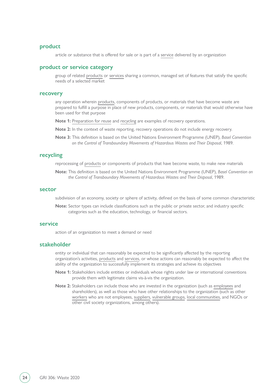### <span id="page-23-0"></span>**product**

article or substance that is offered for sale or is part of a [service](#page-23-1) delivered by an organization

#### <span id="page-23-4"></span>**product or service category**

group of related [products](#page-23-0) or [services](#page-23-1) sharing a common, managed set of features that satisfy the specific needs of a selected market

# <span id="page-23-3"></span>**recovery**

any operation wherein [products,](#page-23-0) components of products, or materials that have become waste are prepared to fulfill a purpose in place of new products, components, or materials that would otherwise have been used for that purpose

**Note 1:** [Preparation for reuse](#page-22-4) and [recycling](#page-23-2) are examples of recovery operations.

**Note 2:** In the context of waste reporting, recovery operations do not include energy recovery.

**Note 3:** This definition is based on the United Nations Environment Programme (UNEP), *Basel Convention on the Control of Transboundary Movements of Hazardous Wastes and Their Disposal*, 1989.

# <span id="page-23-2"></span>**recycling**

reprocessing of [products](#page-23-0) or components of products that have become waste, to make new materials

**Note:** This definition is based on the United Nations Environment Programme (UNEP), *Basel Convention on the Control of Transboundary Movements of Hazardous Wastes and Their Disposal*, 1989.

#### <span id="page-23-6"></span>**sector**

subdivision of an economy, society or sphere of activity, defined on the basis of some common characteristic

**Note:** Sector types can include classifications such as the public or private sector, and industry specific categories such as the education, technology, or financial sectors.

#### <span id="page-23-1"></span>**service**

action of an organization to meet a demand or need

#### <span id="page-23-5"></span>**stakeholder**

entity or individual that can reasonably be expected to be significantly affected by the reporting organization's activities, [products](#page-23-0) and [services](#page-23-1), or whose actions can reasonably be expected to affect the ability of the organization to successfully implement its strategies and achieve its objectives

- **Note 1:** Stakeholders include entities or individuals whose rights under law or international conventions provide them with legitimate claims vis-à-vis the organization.
- **Note 2:** Stakeholders can include those who are invested in the organization (such as [employees](https://www.globalreporting.org/standards/media/1913/gri-standards-glossary.pdf#page=8) and shareholders), as well as those who have other relationships to the organization (such as other [workers](https://www.globalreporting.org/standards/media/1913/gri-standards-glossary.pdf#page=22) who are not employees, [suppliers](#page-24-1), [vulnerable groups](https://www.globalreporting.org/standards/media/1913/gri-standards-glossary.pdf#page=21), [local communities](https://www.globalreporting.org/standards/media/1913/gri-standards-glossary.pdf#page=13), and NGOs or other civil society organizations, among others).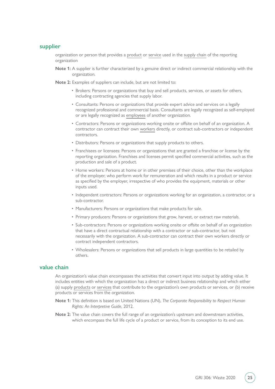# <span id="page-24-1"></span>**supplier**

organization or person that provides a [product](#page-23-0) or [service](#page-23-1) used in the [supply chain](https://www.globalreporting.org/standards/media/1913/gri-standards-glossary.pdf#page=20) of the reporting organization

**Note 1:** A supplier is further characterized by a genuine direct or indirect commercial relationship with the organization.

**Note 2:** Examples of suppliers can include, but are not limited to:

- Brokers: Persons or organizations that buy and sell products, services, or assets for others, including contracting agencies that supply labor.
- Consultants: Persons or organizations that provide expert advice and services on a legally recognized professional and commercial basis. Consultants are legally recognized as self-employed or are legally recognized as [employees](https://www.globalreporting.org/standards/media/1913/gri-standards-glossary.pdf#page=8) of another organization.
- Contractors: Persons or organizations working onsite or offsite on behalf of an organization. A contractor can contract their own [workers](https://www.globalreporting.org/standards/media/1913/gri-standards-glossary.pdf#page=22) directly, or contract sub-contractors or independent contractors.
- Distributors: Persons or organizations that supply products to others.
- Franchisees or licensees: Persons or organizations that are granted a franchise or license by the reporting organization. Franchises and licenses permit specified commercial activities, such as the production and sale of a product.
- Home workers: Persons at home or in other premises of their choice, other than the workplace of the employer, who perform work for remuneration and which results in a product or service as specified by the employer, irrespective of who provides the equipment, materials or other inputs used.
- Independent contractors: Persons or organizations working for an organization, a contractor, or a sub-contractor.
- Manufacturers: Persons or organizations that make products for sale.
- Primary producers: Persons or organizations that grow, harvest, or extract raw materials.
- Sub-contractors: Persons or organizations working onsite or offsite on behalf of an organization that have a direct contractual relationship with a contractor or sub-contractor, but not necessarily with the organization. A sub-contractor can contract their own workers directly or contract independent contractors.
- Wholesalers: Persons or organizations that sell products in large quantities to be retailed by others.

# <span id="page-24-0"></span>**value chain**

An organization's value chain encompasses the activities that convert input into output by adding value. It includes entities with which the organization has a direct or indirect business relationship and which either (a) supply [products](#page-23-0) or [services](#page-23-1) that contribute to the organization's own products or services, or (b) receive products or services from the organization.

- **Note 1:** This definition is based on United Nations (UN), *The Corporate Responsibility to Respect Human Rights: An Interpretive Guide*, 2012.
- **Note 2:** The value chain covers the full range of an organization's upstream and downstream activities, which encompass the full life cycle of a product or service, from its conception to its end use.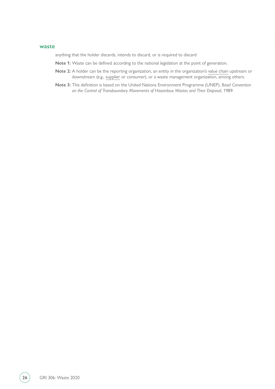#### <span id="page-25-0"></span>**waste**

anything that the holder discards, intends to discard, or is required to discard

- **Note 1:** Waste can be defined according to the national legislation at the point of generation.
- **Note 2:** A holder can be the reporting organization, an entity in the organization's [value chain](#page-24-0) upstream or downstream (e.g., [supplier](#page-24-1) or consumer), or a waste management organization, among others.
- **Note 3:** This definition is based on the United Nations Environment Programme (UNEP), *Basel Convention on the Control of Transboundary Movements of Hazardous Wastes and Their Disposal*, 1989.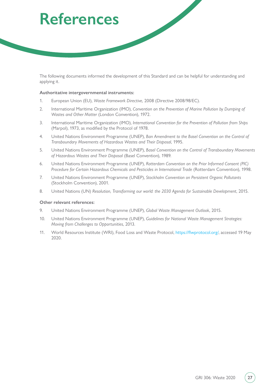# <span id="page-26-0"></span>**References**

The following documents informed the development of this Standard and can be helpful for understanding and applying it.

#### **Authoritative intergovernmental instruments:**

- 1. European Union (EU), *Waste Framework Directive*, 2008 (Directive 2008/98/EC).
- 2. International Maritime Organization (IMO), *Convention on the Prevention of Marine Pollution by Dumping of Wastes and Other Matter* (London Convention), 1972.
- 3. International Maritime Organization (IMO), *International Convention for the Prevention of Pollution from Ships* (Marpol), 1973, as modified by the Protocol of 1978.
- 4. United Nations Environment Programme (UNEP), *Ban Amendment to the Basel Convention on the Control of Transboundary Movements of Hazardous Wastes and Their Disposal*, 1995.
- 5. United Nations Environment Programme (UNEP), *Basel Convention on the Control of Transboundary Movements of Hazardous Wastes and Their Disposal* (Basel Convention), 1989.
- 6. United Nations Environment Programme (UNEP), *Rotterdam Convention on the Prior Informed Consent (PIC) Procedure for Certain Hazardous Chemicals and Pesticides in International Trade* (Rotterdam Convention), 1998.
- 7. United Nations Environment Programme (UNEP), *Stockholm Convention on Persistent Organic Pollutants* (Stockholm Convention), 2001.
- 8. United Nations (UN) *Resolution, Transforming our world: the 2030 Agenda for Sustainable Development*, 2015.

#### **Other relevant references:**

- 9. United Nations Environment Programme (UNEP), *Global Waste Management Outlook*, 2015.
- 10. United Nations Environment Programme (UNEP), *Guidelines for National Waste Management Strategies: Moving from Challenges to Opportunities*, 2013.
- 11. World Resources Institute (WRI), Food Loss and Waste Protocol,<https://flwprotocol.org/>, accessed 19 May 2020.